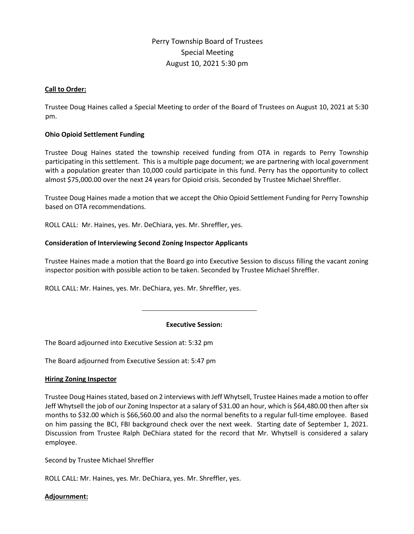# Perry Township Board of Trustees Special Meeting August 10, 2021 5:30 pm

# **Call to Order:**

Trustee Doug Haines called a Special Meeting to order of the Board of Trustees on August 10, 2021 at 5:30 pm.

# **Ohio Opioid Settlement Funding**

Trustee Doug Haines stated the township received funding from OTA in regards to Perry Township participating in this settlement. This is a multiple page document; we are partnering with local government with a population greater than 10,000 could participate in this fund. Perry has the opportunity to collect almost \$75,000.00 over the next 24 years for Opioid crisis. Seconded by Trustee Michael Shreffler.

Trustee Doug Haines made a motion that we accept the Ohio Opioid Settlement Funding for Perry Township based on OTA recommendations.

ROLL CALL: Mr. Haines, yes. Mr. DeChiara, yes. Mr. Shreffler, yes.

# **Consideration of Interviewing Second Zoning Inspector Applicants**

Trustee Haines made a motion that the Board go into Executive Session to discuss filling the vacant zoning inspector position with possible action to be taken. Seconded by Trustee Michael Shreffler.

ROLL CALL: Mr. Haines, yes. Mr. DeChiara, yes. Mr. Shreffler, yes.

# **Executive Session:**

The Board adjourned into Executive Session at: 5:32 pm

The Board adjourned from Executive Session at: 5:47 pm

# **Hiring Zoning Inspector**

Trustee Doug Haines stated, based on 2 interviews with Jeff Whytsell, Trustee Haines made a motion to offer Jeff Whytsell the job of our Zoning Inspector at a salary of \$31.00 an hour, which is \$64,480.00 then after six months to \$32.00 which is \$66,560.00 and also the normal benefits to a regular full-time employee. Based on him passing the BCI, FBI background check over the next week. Starting date of September 1, 2021. Discussion from Trustee Ralph DeChiara stated for the record that Mr. Whytsell is considered a salary employee.

Second by Trustee Michael Shreffler

ROLL CALL: Mr. Haines, yes. Mr. DeChiara, yes. Mr. Shreffler, yes.

# **Adjournment:**